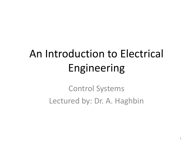# An Introduction to Electrical Engineering

Control Systems Lectured by: Dr. A. Haghbin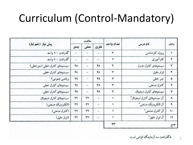### Curriculum (Control-Mandatory)

| پیش نیاز / (هم نیاز)        | ساعت |                |               |            |                            |                        |
|-----------------------------|------|----------------|---------------|------------|----------------------------|------------------------|
|                             | جمع  | عملى           | نظرى          | تعداد واحد | نام درس                    | رديف                   |
| گذراندن ۱۰۰ واحد            | Ξ    | ÷              | ÷             | ۳          | بروؤه كارشناسي             | $\sqrt{ }$             |
| گذراندن ۱۰۰ واحد            | Ξ    |                |               | ۳          | كارآموزي                   | ۲                      |
| سیستمهای کنترل خطی (جبرخطی) | ۴٨   | $\equiv$       | ۴۸            | ٣          | سيستمهاى كنترل مدرن        | ۳                      |
| سيستمهاى كنترل خطى          | ۴۸.  | -              | ۴۸            | ۳          | ابزار دقيق                 | ۴                      |
| رياضي عمومي ٢               | ۴٨   | ٢              | ۴٨            | ۳          | جبر خطی                    | ۵                      |
| سيستمهاى كنترل خطى          | ۴٨   | ÷              | ۴۸            | ۳          | كترل صنعتى                 | $\hat{\boldsymbol{r}}$ |
| سيستمهاى كنترل خطى          | ۴۸   | $\overline{a}$ | ۴٨            | ۳          | سيستمهاى كنترل ديجيتال     | v                      |
| سيستم هاى كنترل ديجيتال     | rr   | ٣٢             | $\frac{1}{2}$ |            | آز سیستمهای کنترل دیجیتال° | ۸                      |
| (الكترونيك صنعتى)           | 37   | ٣٢             | Ľ.            |            | آز الكترونيك صنعتي "       | ٩                      |
| (كنترل صنعتى)               | 37   | rr             | $\,$          |            | آز كنترل صنعتى "           | ١.                     |
| (ابزار دقيق)                | 37   | ٣٢             | m.            |            | آز ابزار دقیق°             | $\mathbf{H}$           |
|                             |      |                |               | ٣٣         |                            | جمع                    |

ه گذراندن سه آزمایشگاه الزامی است.

2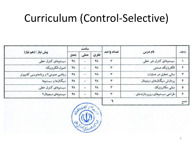## Curriculum (Control-Selective)

| پیش نیاز / (هم نیاز)                |           | ساعت     |      |            | نام درس                       | رديف |
|-------------------------------------|-----------|----------|------|------------|-------------------------------|------|
|                                     | جمع       | عملى     | نظرى | تعداد واحد |                               |      |
| سيستمهاى كنترل خطى                  | ۴۸        |          | ۴۸   |            | سیستمهای کنترل غیر خطی        |      |
| اصول الكترونيك                      | ۴۸        | $\sim$   | ۴٨   | ۳          | الكترونيك صنعتي               |      |
| ریاضی عمومی۲ و برنامهنویسی کامپیوتر | <b>FA</b> |          | ۴٨   | ۳          | مبانی تحقیق در عملیات         |      |
| سيگنال.ها و سيستمها                 | ۴۸        |          | ۴٨   | ۳          | پردازش سیگنالهای دیجیتال      |      |
| سيستمهاى كنترل خطى                  | ۴٨        |          | ۴۸   |            | مباني مكاترونيك               | ۵    |
| سيستمهاى ديجيتال٢                   | ۴٨        | $\equiv$ | ۴٨   |            | طراحي سيستمهاى ريزير دازندهاى | ۶    |
|                                     |           |          |      |            |                               | .    |



C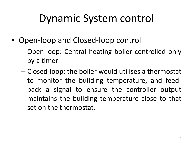## Dynamic System control

- Open-loop and Closed-loop control
	- Open-loop: Central heating boiler controlled only by a timer
	- Closed-loop: the boiler would utilises a thermostat to monitor the building temperature, and feedback a signal to ensure the controller output maintains the building temperature close to that set on the thermostat.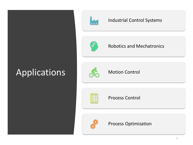### Applications



#### Industrial Control Systems



Robotics and Mechatronics



Motion Control



Process Control



Process Optimization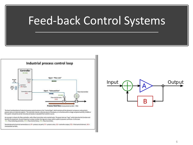## Feed-back Control Systems



The basic building block of industrial process control systems is the "control loop" which contains all the elements to measure and control a process value at a desired setpoint. The controller may be a discrete piece of hardware, or a function within a large computerised DCS, SCADA or PLC system. Set points can be manually set locally or cascaded from another source.

An example is shown of a flow controller, with a flow transmitter and a control valve. The green text are "tags", which describe the function and identify the equipment. As each loop has a unique number the tags are unique within a plant to prevent confusion. In this case: FIC = Flow indicating controller, FCV = Flow Control Valve, FTX = flow transmitter,

Standard practical control nomenclature is: SP = process set point, PV = process value, CO = controller output, FCE = final control element, MV = manipulated variable.

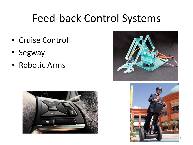### Feed-back Control Systems

- Cruise Control
- Segway
- Robotic Arms





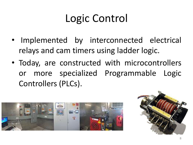# Logic Control

- Implemented by interconnected electrical relays and cam timers using ladder logic.
- Today, are constructed with microcontrollers or more specialized Programmable Logic Controllers (PLCs).



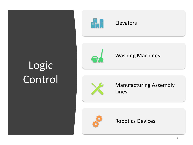# Logic Control



#### Elevators



#### Washing Machines



Manufacturing Assembly Lines



#### Robotics Devices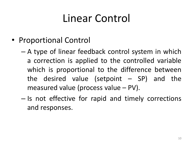## Linear Control

- Proportional Control
	- A type of linear feedback control system in which a correction is applied to the controlled variable which is proportional to the difference between the desired value (setpoint  $-$  SP) and the measured value (process value – PV).
	- Is not effective for rapid and timely corrections and responses.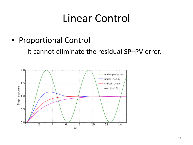### Linear Control

- Proportional Control
	- It cannot eliminate the residual SP–PV error.

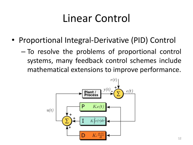### Linear Control

- Proportional Integral-Derivative (PID) Control
	- To resolve the problems of proportional control systems, many feedback control schemes include mathematical extensions to improve performance.

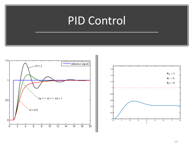### PID Control



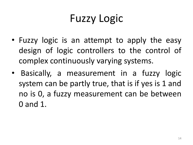# Fuzzy Logic

- Fuzzy logic is an attempt to apply the easy design of logic controllers to the control of complex continuously varying systems.
- Basically, a measurement in a fuzzy logic system can be partly true, that is if yes is 1 and no is 0, a fuzzy measurement can be between 0 and 1.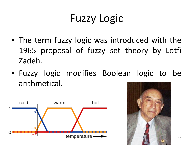# Fuzzy Logic

- The term fuzzy logic was introduced with the 1965 proposal of fuzzy set theory by Lotfi Zadeh.
- Fuzzy logic modifies Boolean logic to be arithmetical.



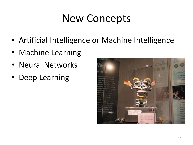## New Concepts

- Artificial Intelligence or Machine Intelligence
- Machine Learning
- Neural Networks
- Deep Learning